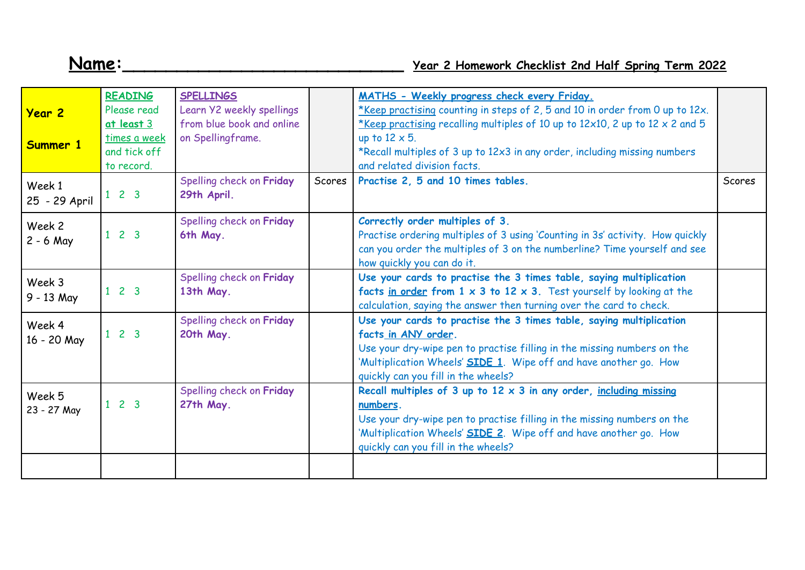## **Name:\_\_\_\_\_\_\_\_\_\_\_\_\_\_\_\_\_\_\_\_\_\_\_\_\_\_ Year 2 Homework Checklist 2nd Half Spring Term 2022**

| <b>Year 2</b><br>Summer 1 | <b>READING</b><br>Please read<br>at least 3<br>times a week<br>and tick off<br>to record. | <b>SPELLINGS</b><br>Learn Y2 weekly spellings<br>from blue book and online<br>on Spellingframe. |        | MATHS - Weekly progress check every Friday.<br>*Keep practising counting in steps of 2, 5 and 10 in order from 0 up to 12x.<br>*Keep practising recalling multiples of 10 up to 12x10, 2 up to 12 x 2 and 5<br>up to $12 \times 5$ .<br>*Recall multiples of 3 up to 12x3 in any order, including missing numbers<br>and related division facts. |        |
|---------------------------|-------------------------------------------------------------------------------------------|-------------------------------------------------------------------------------------------------|--------|--------------------------------------------------------------------------------------------------------------------------------------------------------------------------------------------------------------------------------------------------------------------------------------------------------------------------------------------------|--------|
| Week 1<br>25 - 29 April   | $1 \t2 \t3$                                                                               | Spelling check on Friday<br>29th April.                                                         | Scores | Practise 2, 5 and 10 times tables.                                                                                                                                                                                                                                                                                                               | Scores |
| Week 2<br>$2 - 6$ May     | $1 \t2 \t3$                                                                               | Spelling check on Friday<br>6th May.                                                            |        | Correctly order multiples of 3.<br>Practise ordering multiples of 3 using 'Counting in 3s' activity. How quickly<br>can you order the multiples of 3 on the numberline? Time yourself and see<br>how quickly you can do it.                                                                                                                      |        |
| Week 3<br>9 - 13 May      | $1 \t2 \t3$                                                                               | Spelling check on Friday<br>13th May.                                                           |        | Use your cards to practise the 3 times table, saying multiplication<br>facts in order from $1 \times 3$ to $12 \times 3$ . Test yourself by looking at the<br>calculation, saying the answer then turning over the card to check.                                                                                                                |        |
| Week 4<br>16 - 20 May     | $1 \t2 \t3$                                                                               | Spelling check on Friday<br>20th May.                                                           |        | Use your cards to practise the 3 times table, saying multiplication<br>facts in ANY order.<br>Use your dry-wipe pen to practise filling in the missing numbers on the<br>'Multiplication Wheels' <b>SIDE 1</b> . Wipe off and have another go. How<br>quickly can you fill in the wheels?                                                        |        |
| Week 5<br>23 - 27 May     | $1 \quad 2 \quad 3$                                                                       | Spelling check on Friday<br>27th May.                                                           |        | Recall multiples of 3 up to $12 \times 3$ in any order, including missing<br>numbers.<br>Use your dry-wipe pen to practise filling in the missing numbers on the<br>'Multiplication Wheels' <b>SIDE 2</b> . Wipe off and have another go. How<br>quickly can you fill in the wheels?                                                             |        |